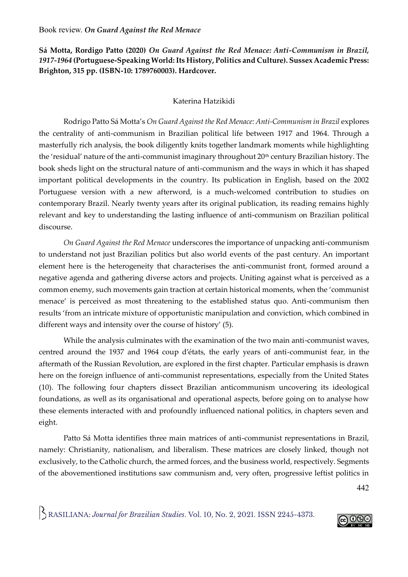**Sá Motta, Rordigo Patto (2020)** *On Guard Against the Red Menace: Anti-Communism in Brazil, 1917-1964* **(Portuguese-Speaking World: Its History, Politics and Culture). Sussex Academic Press: Brighton, 315 pp. (ISBN-10: 1789760003). Hardcover.**

## Katerina Hatzikidi

Rodrigo Patto Sá Motta's *On Guard Against the Red Menace: Anti-Communism in Brazil* explores the centrality of anti-communism in Brazilian political life between 1917 and 1964. Through a masterfully rich analysis, the book diligently knits together landmark moments while highlighting the 'residual' nature of the anti-communist imaginary throughout 20<sup>th</sup> century Brazilian history. The book sheds light on the structural nature of anti-communism and the ways in which it has shaped important political developments in the country. Its publication in English, based on the 2002 Portuguese version with a new afterword, is a much-welcomed contribution to studies on contemporary Brazil. Nearly twenty years after its original publication, its reading remains highly relevant and key to understanding the lasting influence of anti-communism on Brazilian political discourse.

*On Guard Against the Red Menace* underscores the importance of unpacking anti-communism to understand not just Brazilian politics but also world events of the past century. An important element here is the heterogeneity that characterises the anti-communist front, formed around a negative agenda and gathering diverse actors and projects. Uniting against what is perceived as a common enemy, such movements gain traction at certain historical moments, when the 'communist menace' is perceived as most threatening to the established status quo. Anti-communism then results 'from an intricate mixture of opportunistic manipulation and conviction, which combined in different ways and intensity over the course of history' (5).

While the analysis culminates with the examination of the two main anti-communist waves, centred around the 1937 and 1964 coup d'états, the early years of anti-communist fear, in the aftermath of the Russian Revolution, are explored in the first chapter. Particular emphasis is drawn here on the foreign influence of anti-communist representations, especially from the United States (10). The following four chapters dissect Brazilian anticommunism uncovering its ideological foundations, as well as its organisational and operational aspects, before going on to analyse how these elements interacted with and profoundly influenced national politics, in chapters seven and eight.

Patto Sá Motta identifies three main matrices of anti-communist representations in Brazil, namely: Christianity, nationalism, and liberalism. These matrices are closely linked, though not exclusively, to the Catholic church, the armed forces, and the business world, respectively. Segments of the abovementioned institutions saw communism and, very often, progressive leftist politics in

442

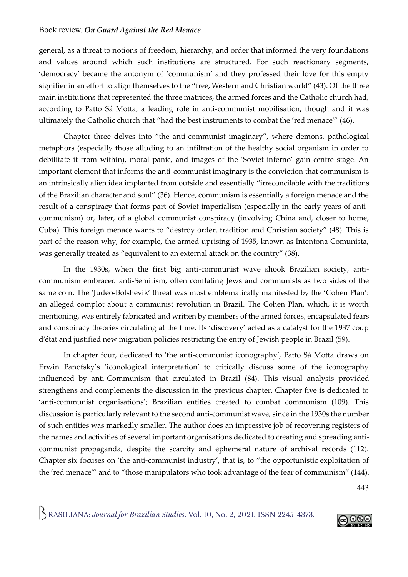## Book review. *On Guard Against the Red Menace*

general, as a threat to notions of freedom, hierarchy, and order that informed the very foundations and values around which such institutions are structured. For such reactionary segments, 'democracy' became the antonym of 'communism' and they professed their love for this empty signifier in an effort to align themselves to the "free, Western and Christian world" (43). Of the three main institutions that represented the three matrices, the armed forces and the Catholic church had, according to Patto Sá Motta, a leading role in anti-communist mobilisation, though and it was ultimately the Catholic church that "had the best instruments to combat the 'red menace'" (46).

Chapter three delves into "the anti-communist imaginary", where demons, pathological metaphors (especially those alluding to an infiltration of the healthy social organism in order to debilitate it from within), moral panic, and images of the 'Soviet inferno' gain centre stage. An important element that informs the anti-communist imaginary is the conviction that communism is an intrinsically alien idea implanted from outside and essentially "irreconcilable with the traditions of the Brazilian character and soul" (36). Hence, communism is essentially a foreign menace and the result of a conspiracy that forms part of Soviet imperialism (especially in the early years of anticommunism) or, later, of a global communist conspiracy (involving China and, closer to home, Cuba). This foreign menace wants to "destroy order, tradition and Christian society" (48). This is part of the reason why, for example, the armed uprising of 1935, known as Intentona Comunista, was generally treated as "equivalent to an external attack on the country" (38).

In the 1930s, when the first big anti-communist wave shook Brazilian society, anticommunism embraced anti-Semitism, often conflating Jews and communists as two sides of the same coin. The 'Judeo-Bolshevik' threat was most emblematically manifested by the 'Cohen Plan': an alleged complot about a communist revolution in Brazil. The Cohen Plan, which, it is worth mentioning, was entirely fabricated and written by members of the armed forces, encapsulated fears and conspiracy theories circulating at the time. Its 'discovery' acted as a catalyst for the 1937 coup d'état and justified new migration policies restricting the entry of Jewish people in Brazil (59).

In chapter four, dedicated to 'the anti-communist iconography', Patto Sá Motta draws on Erwin Panofsky's 'iconological interpretation' to critically discuss some of the iconography influenced by anti-Communism that circulated in Brazil (84). This visual analysis provided strengthens and complements the discussion in the previous chapter. Chapter five is dedicated to 'anti-communist organisations'; Brazilian entities created to combat communism (109). This discussion is particularly relevant to the second anti-communist wave, since in the 1930s the number of such entities was markedly smaller. The author does an impressive job of recovering registers of the names and activities of several important organisations dedicated to creating and spreading anticommunist propaganda, despite the scarcity and ephemeral nature of archival records (112). Chapter six focuses on 'the anti-communist industry', that is, to "the opportunistic exploitation of the 'red menace'" and to "those manipulators who took advantage of the fear of communism" (144).

443